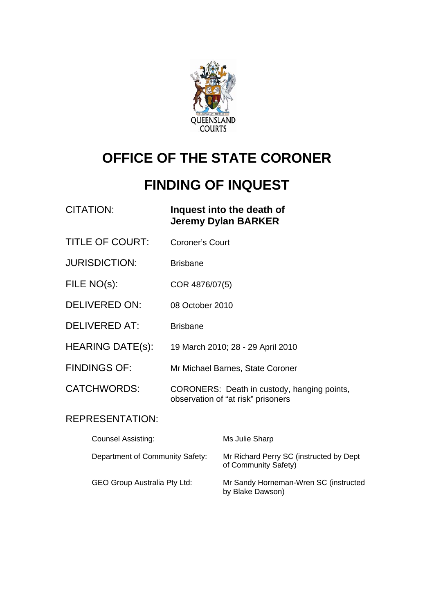

# **OFFICE OF THE STATE CORONER**

# **FINDING OF INQUEST**

| CITATION: | Inquest into the death of  |
|-----------|----------------------------|
|           | <b>Jeremy Dylan BARKER</b> |

- TITLE OF COURT: Coroner's Court
- JURISDICTION: Brisbane
- FILE NO(s): COR 4876/07(5)
- DELIVERED ON: 08 October 2010
- DELIVERED AT: Brisbane
- HEARING DATE(s): 19 March 2010; 28 29 April 2010
- FINDINGS OF: Mr Michael Barnes, State Coroner

CATCHWORDS: CORONERS: Death in custody, hanging points, observation of "at risk" prisoners

#### REPRESENTATION:

| <b>Counsel Assisting:</b>           | Ms Julie Sharp                                                  |
|-------------------------------------|-----------------------------------------------------------------|
| Department of Community Safety:     | Mr Richard Perry SC (instructed by Dept<br>of Community Safety) |
| <b>GEO Group Australia Pty Ltd:</b> | Mr Sandy Horneman-Wren SC (instructed<br>by Blake Dawson)       |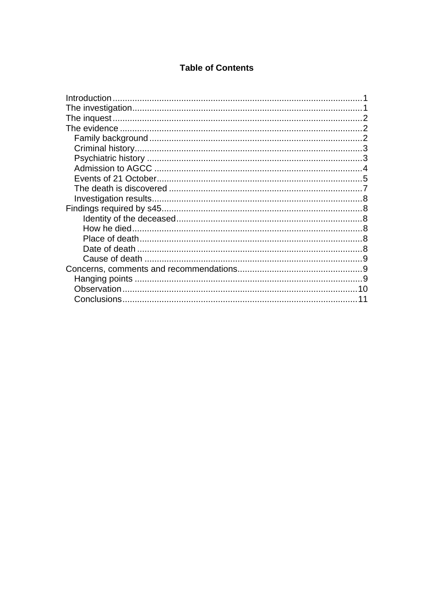#### **Table of Contents**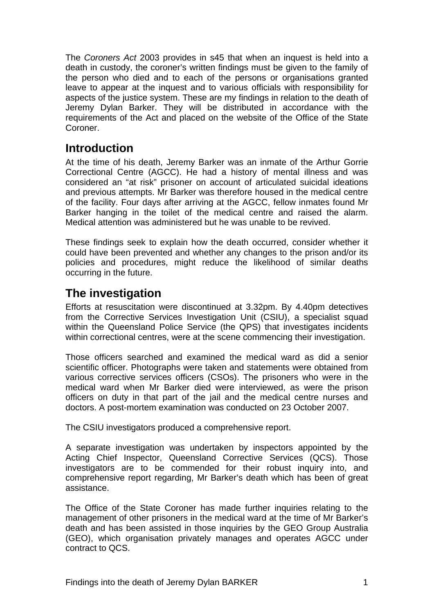The *Coroners Act* 2003 provides in s45 that when an inquest is held into a death in custody, the coroner's written findings must be given to the family of the person who died and to each of the persons or organisations granted leave to appear at the inquest and to various officials with responsibility for aspects of the justice system. These are my findings in relation to the death of Jeremy Dylan Barker. They will be distributed in accordance with the requirements of the Act and placed on the website of the Office of the State Coroner.

# <span id="page-2-0"></span>**Introduction**

At the time of his death, Jeremy Barker was an inmate of the Arthur Gorrie Correctional Centre (AGCC). He had a history of mental illness and was considered an "at risk" prisoner on account of articulated suicidal ideations and previous attempts. Mr Barker was therefore housed in the medical centre of the facility. Four days after arriving at the AGCC, fellow inmates found Mr Barker hanging in the toilet of the medical centre and raised the alarm. Medical attention was administered but he was unable to be revived.

These findings seek to explain how the death occurred, consider whether it could have been prevented and whether any changes to the prison and/or its policies and procedures, might reduce the likelihood of similar deaths occurring in the future.

# <span id="page-2-1"></span>**The investigation**

Efforts at resuscitation were discontinued at 3.32pm. By 4.40pm detectives from the Corrective Services Investigation Unit (CSIU), a specialist squad within the Queensland Police Service (the QPS) that investigates incidents within correctional centres, were at the scene commencing their investigation.

Those officers searched and examined the medical ward as did a senior scientific officer. Photographs were taken and statements were obtained from various corrective services officers (CSOs). The prisoners who were in the medical ward when Mr Barker died were interviewed, as were the prison officers on duty in that part of the jail and the medical centre nurses and doctors. A post-mortem examination was conducted on 23 October 2007.

The CSIU investigators produced a comprehensive report.

A separate investigation was undertaken by inspectors appointed by the Acting Chief Inspector, Queensland Corrective Services (QCS). Those investigators are to be commended for their robust inquiry into, and comprehensive report regarding, Mr Barker's death which has been of great assistance.

The Office of the State Coroner has made further inquiries relating to the management of other prisoners in the medical ward at the time of Mr Barker's death and has been assisted in those inquiries by the GEO Group Australia (GEO), which organisation privately manages and operates AGCC under contract to QCS.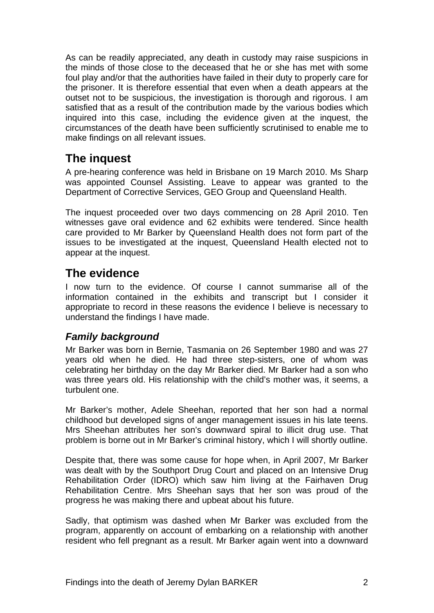As can be readily appreciated, any death in custody may raise suspicions in the minds of those close to the deceased that he or she has met with some foul play and/or that the authorities have failed in their duty to properly care for the prisoner. It is therefore essential that even when a death appears at the outset not to be suspicious, the investigation is thorough and rigorous. I am satisfied that as a result of the contribution made by the various bodies which inquired into this case, including the evidence given at the inquest, the circumstances of the death have been sufficiently scrutinised to enable me to make findings on all relevant issues.

# <span id="page-3-0"></span>**The inquest**

A pre-hearing conference was held in Brisbane on 19 March 2010. Ms Sharp was appointed Counsel Assisting. Leave to appear was granted to the Department of Corrective Services, GEO Group and Queensland Health.

The inquest proceeded over two days commencing on 28 April 2010. Ten witnesses gave oral evidence and 62 exhibits were tendered. Since health care provided to Mr Barker by Queensland Health does not form part of the issues to be investigated at the inquest, Queensland Health elected not to appear at the inquest.

# <span id="page-3-1"></span>**The evidence**

I now turn to the evidence. Of course I cannot summarise all of the information contained in the exhibits and transcript but I consider it appropriate to record in these reasons the evidence I believe is necessary to understand the findings I have made.

## <span id="page-3-2"></span>*Family background*

Mr Barker was born in Bernie, Tasmania on 26 September 1980 and was 27 years old when he died. He had three step-sisters, one of whom was celebrating her birthday on the day Mr Barker died. Mr Barker had a son who was three years old. His relationship with the child's mother was, it seems, a turbulent one.

Mr Barker's mother, Adele Sheehan, reported that her son had a normal childhood but developed signs of anger management issues in his late teens. Mrs Sheehan attributes her son's downward spiral to illicit drug use. That problem is borne out in Mr Barker's criminal history, which I will shortly outline.

Despite that, there was some cause for hope when, in April 2007, Mr Barker was dealt with by the Southport Drug Court and placed on an Intensive Drug Rehabilitation Order (IDRO) which saw him living at the Fairhaven Drug Rehabilitation Centre. Mrs Sheehan says that her son was proud of the progress he was making there and upbeat about his future.

Sadly, that optimism was dashed when Mr Barker was excluded from the program, apparently on account of embarking on a relationship with another resident who fell pregnant as a result. Mr Barker again went into a downward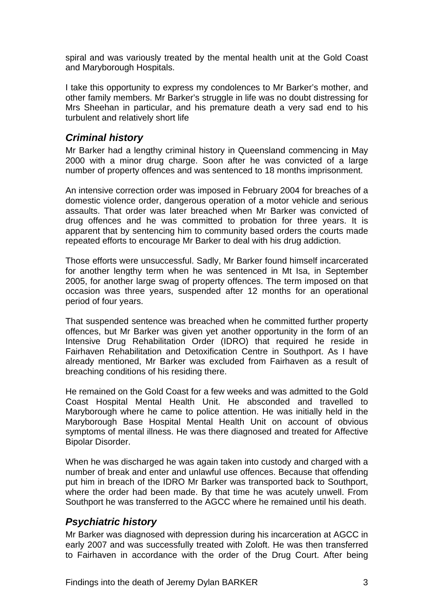spiral and was variously treated by the mental health unit at the Gold Coast and Maryborough Hospitals.

I take this opportunity to express my condolences to Mr Barker's mother, and other family members. Mr Barker's struggle in life was no doubt distressing for Mrs Sheehan in particular, and his premature death a very sad end to his turbulent and relatively short life

## <span id="page-4-0"></span>*Criminal history*

Mr Barker had a lengthy criminal history in Queensland commencing in May 2000 with a minor drug charge. Soon after he was convicted of a large number of property offences and was sentenced to 18 months imprisonment.

An intensive correction order was imposed in February 2004 for breaches of a domestic violence order, dangerous operation of a motor vehicle and serious assaults. That order was later breached when Mr Barker was convicted of drug offences and he was committed to probation for three years. It is apparent that by sentencing him to community based orders the courts made repeated efforts to encourage Mr Barker to deal with his drug addiction.

Those efforts were unsuccessful. Sadly, Mr Barker found himself incarcerated for another lengthy term when he was sentenced in Mt Isa, in September 2005, for another large swag of property offences. The term imposed on that occasion was three years, suspended after 12 months for an operational period of four years.

That suspended sentence was breached when he committed further property offences, but Mr Barker was given yet another opportunity in the form of an Intensive Drug Rehabilitation Order (IDRO) that required he reside in Fairhaven Rehabilitation and Detoxification Centre in Southport. As I have already mentioned, Mr Barker was excluded from Fairhaven as a result of breaching conditions of his residing there.

He remained on the Gold Coast for a few weeks and was admitted to the Gold Coast Hospital Mental Health Unit. He absconded and travelled to Maryborough where he came to police attention. He was initially held in the Maryborough Base Hospital Mental Health Unit on account of obvious symptoms of mental illness. He was there diagnosed and treated for Affective Bipolar Disorder.

When he was discharged he was again taken into custody and charged with a number of break and enter and unlawful use offences. Because that offending put him in breach of the IDRO Mr Barker was transported back to Southport, where the order had been made. By that time he was acutely unwell. From Southport he was transferred to the AGCC where he remained until his death.

## <span id="page-4-1"></span>*Psychiatric history*

Mr Barker was diagnosed with depression during his incarceration at AGCC in early 2007 and was successfully treated with Zoloft. He was then transferred to Fairhaven in accordance with the order of the Drug Court. After being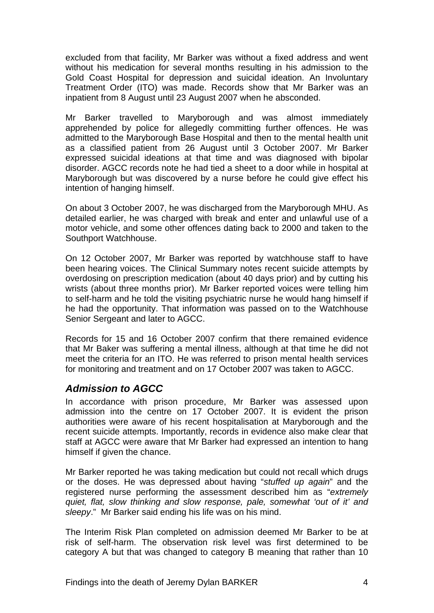excluded from that facility, Mr Barker was without a fixed address and went without his medication for several months resulting in his admission to the Gold Coast Hospital for depression and suicidal ideation. An Involuntary Treatment Order (ITO) was made. Records show that Mr Barker was an inpatient from 8 August until 23 August 2007 when he absconded.

Mr Barker travelled to Maryborough and was almost immediately apprehended by police for allegedly committing further offences. He was admitted to the Maryborough Base Hospital and then to the mental health unit as a classified patient from 26 August until 3 October 2007. Mr Barker expressed suicidal ideations at that time and was diagnosed with bipolar disorder. AGCC records note he had tied a sheet to a door while in hospital at Maryborough but was discovered by a nurse before he could give effect his intention of hanging himself.

On about 3 October 2007, he was discharged from the Maryborough MHU. As detailed earlier, he was charged with break and enter and unlawful use of a motor vehicle, and some other offences dating back to 2000 and taken to the Southport Watchhouse.

On 12 October 2007, Mr Barker was reported by watchhouse staff to have been hearing voices. The Clinical Summary notes recent suicide attempts by overdosing on prescription medication (about 40 days prior) and by cutting his wrists (about three months prior). Mr Barker reported voices were telling him to self-harm and he told the visiting psychiatric nurse he would hang himself if he had the opportunity. That information was passed on to the Watchhouse Senior Sergeant and later to AGCC.

Records for 15 and 16 October 2007 confirm that there remained evidence that Mr Baker was suffering a mental illness, although at that time he did not meet the criteria for an ITO. He was referred to prison mental health services for monitoring and treatment and on 17 October 2007 was taken to AGCC.

## <span id="page-5-0"></span>*Admission to AGCC*

In accordance with prison procedure, Mr Barker was assessed upon admission into the centre on 17 October 2007. It is evident the prison authorities were aware of his recent hospitalisation at Maryborough and the recent suicide attempts. Importantly, records in evidence also make clear that staff at AGCC were aware that Mr Barker had expressed an intention to hang himself if given the chance.

Mr Barker reported he was taking medication but could not recall which drugs or the doses. He was depressed about having "*stuffed up again*" and the registered nurse performing the assessment described him as "*extremely quiet, flat, slow thinking and slow response, pale, somewhat 'out of it' and sleepy*." Mr Barker said ending his life was on his mind.

The Interim Risk Plan completed on admission deemed Mr Barker to be at risk of self-harm. The observation risk level was first determined to be category A but that was changed to category B meaning that rather than 10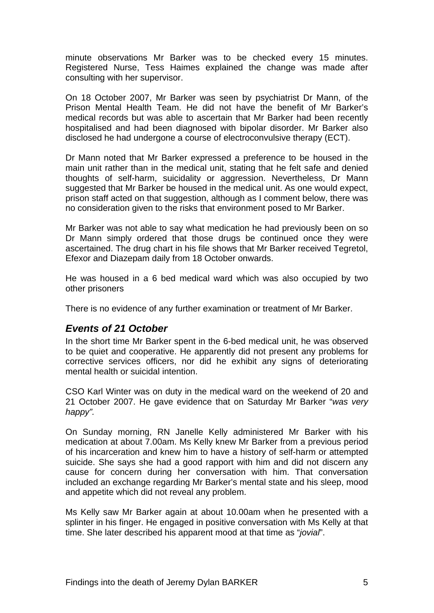minute observations Mr Barker was to be checked every 15 minutes. Registered Nurse, Tess Haimes explained the change was made after consulting with her supervisor.

On 18 October 2007, Mr Barker was seen by psychiatrist Dr Mann, of the Prison Mental Health Team. He did not have the benefit of Mr Barker's medical records but was able to ascertain that Mr Barker had been recently hospitalised and had been diagnosed with bipolar disorder. Mr Barker also disclosed he had undergone a course of electroconvulsive therapy (ECT).

Dr Mann noted that Mr Barker expressed a preference to be housed in the main unit rather than in the medical unit, stating that he felt safe and denied thoughts of self-harm, suicidality or aggression. Nevertheless, Dr Mann suggested that Mr Barker be housed in the medical unit. As one would expect, prison staff acted on that suggestion, although as I comment below, there was no consideration given to the risks that environment posed to Mr Barker.

Mr Barker was not able to say what medication he had previously been on so Dr Mann simply ordered that those drugs be continued once they were ascertained. The drug chart in his file shows that Mr Barker received Tegretol, Efexor and Diazepam daily from 18 October onwards.

He was housed in a 6 bed medical ward which was also occupied by two other prisoners

There is no evidence of any further examination or treatment of Mr Barker.

#### <span id="page-6-0"></span>*Events of 21 October*

In the short time Mr Barker spent in the 6-bed medical unit, he was observed to be quiet and cooperative. He apparently did not present any problems for orrective services officers, nor did he exhibit any signs of deteriorating c mental health or suicidal intention.

CSO Karl Winter was on duty in the medical ward on the weekend of 20 and 21 October 2007. He gave evidence that on Saturday Mr Barker "*was very happy".*

On Sunday morning, RN Janelle Kelly administered Mr Barker with his medication at about 7.00am. Ms Kelly knew Mr Barker from a previous period of his incarceration and knew him to have a history of self-harm or attempted suicide. She says she had a good rapport with him and did not discern any cause for concern during her conversation with him. That conversation included an exchange regarding Mr Barker's mental state and his sleep, mood and appetite which did not reveal any problem.

Ms Kelly saw Mr Barker again at about 10.00am when he presented with a splinter in his finger. He engaged in positive conversation with Ms Kelly at that time. She later described his apparent mood at that time as "*jovial*".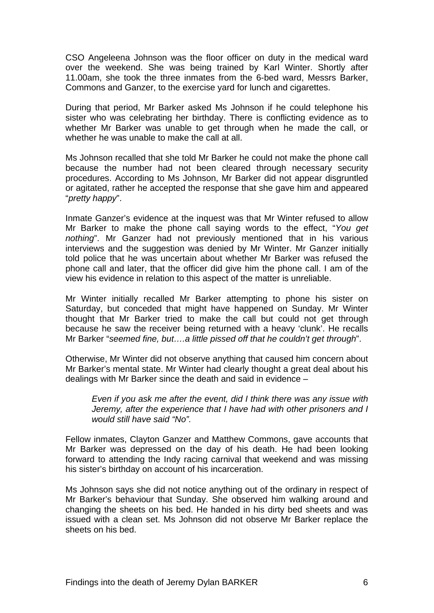CSO Angeleena Johnson was the floor officer on duty in the medical ward over the weekend. She was being trained by Karl Winter. Shortly after 11.00am, she took the three inmates from the 6-bed ward, Messrs Barker, Commons and Ganzer, to the exercise yard for lunch and cigarettes.

During that period, Mr Barker asked Ms Johnson if he could telephone his sister who was celebrating her birthday. There is conflicting evidence as to whether Mr Barker was unable to get through when he made the call, or whether he was unable to make the call at all.

Ms Johnson recalled that she told Mr Barker he could not make the phone call because the number had not been cleared through necessary security procedures. According to Ms Johnson, Mr Barker did not appear disgruntled or agitated, rather he accepted the response that she gave him and appeared "*pretty happy*".

Inmate Ganzer's evidence at the inquest was that Mr Winter refused to allow Mr Barker to make the phone call saying words to the effect, "*You get nothing*". Mr Ganzer had not previously mentioned that in his various interviews and the suggestion was denied by Mr Winter. Mr Ganzer initially told police that he was uncertain about whether Mr Barker was refused the phone call and later, that the officer did give him the phone call. I am of the view his evidence in relation to this aspect of the matter is unreliable.

Mr Winter initially recalled Mr Barker attempting to phone his sister on Saturday, but conceded that might have happened on Sunday. Mr Winter thought that Mr Barker tried to make the call but could not get through because he saw the receiver being returned with a heavy 'clunk'. He recalls Mr Barker "*seemed fine, but….a little pissed off that he couldn't get through*".

Otherwise, Mr Winter did not observe anything that caused him concern about Mr Barker's mental state. Mr Winter had clearly thought a great deal about his dealings with Mr Barker since the death and said in evidence –

*Even if you ask me after the event, did I think there was any issue with Jeremy, after the experience that I have had with other prisoners and I would still have said "No".*

Fellow inmates, Clayton Ganzer and Matthew Commons, gave accounts that Mr Barker was depressed on the day of his death. He had been looking forward to attending the Indy racing carnival that weekend and was missing his sister's birthday on account of his incarceration.

Ms Johnson says she did not notice anything out of the ordinary in respect of Mr Barker's behaviour that Sunday. She observed him walking around and changing the sheets on his bed. He handed in his dirty bed sheets and was issued with a clean set. Ms Johnson did not observe Mr Barker replace the sheets on his bed.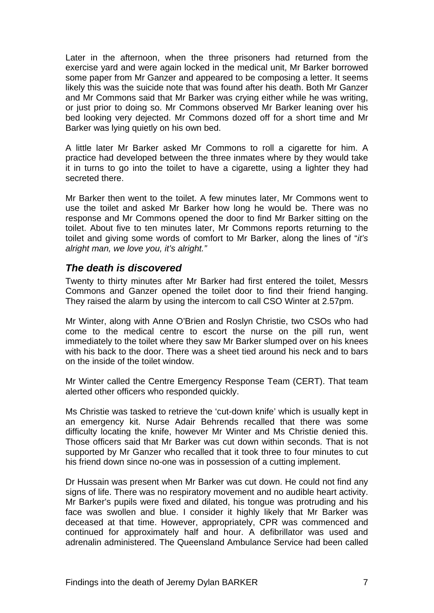Later in the afternoon, when the three prisoners had returned from the exercise yard and were again locked in the medical unit, Mr Barker borrowed some paper from Mr Ganzer and appeared to be composing a letter. It seems likely this was the suicide note that was found after his death. Both Mr Ganzer and Mr Commons said that Mr Barker was crying either while he was writing, or just prior to doing so. Mr Commons observed Mr Barker leaning over his bed looking very dejected. Mr Commons dozed off for a short time and Mr Barker was lying quietly on his own bed.

A little later Mr Barker asked Mr Commons to roll a cigarette for him. A practice had developed between the three inmates where by they would take it in turns to go into the toilet to have a cigarette, using a lighter they had secreted there.

Mr Barker then went to the toilet. A few minutes later, Mr Commons went to use the toilet and asked Mr Barker how long he would be. There was no response and Mr Commons opened the door to find Mr Barker sitting on the toilet. About five to ten minutes later, Mr Commons reports returning to the toilet and giving some words of comfort to Mr Barker, along the lines of "*it's alright man, we love you, it's alright."* 

## <span id="page-8-0"></span>*The death is discovered*

Twenty to thirty minutes after Mr Barker had first entered the toilet, Messrs Commons and Ganzer opened the toilet door to find their friend hanging. They raised the alarm by using the intercom to call CSO Winter at 2.57pm.

Mr Winter, along with Anne O'Brien and Roslyn Christie, two CSOs who had come to the medical centre to escort the nurse on the pill run, went immediately to the toilet where they saw Mr Barker slumped over on his knees with his back to the door. There was a sheet tied around his neck and to bars on the inside of the toilet window.

Mr Winter called the Centre Emergency Response Team (CERT). That team alerted other officers who responded quickly.

Ms Christie was tasked to retrieve the 'cut-down knife' which is usually kept in an emergency kit. Nurse Adair Behrends recalled that there was some difficulty locating the knife, however Mr Winter and Ms Christie denied this. Those officers said that Mr Barker was cut down within seconds. That is not supported by Mr Ganzer who recalled that it took three to four minutes to cut his friend down since no-one was in possession of a cutting implement.

Dr Hussain was present when Mr Barker was cut down. He could not find any signs of life. There was no respiratory movement and no audible heart activity. Mr Barker's pupils were fixed and dilated, his tongue was protruding and his face was swollen and blue. I consider it highly likely that Mr Barker was deceased at that time. However, appropriately, CPR was commenced and continued for approximately half and hour. A defibrillator was used and adrenalin administered. The Queensland Ambulance Service had been called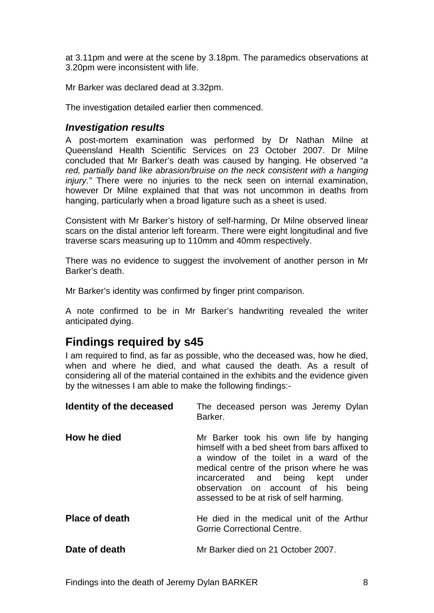at 3.11pm and were at the scene by 3.18pm. The paramedics observations at 3.20pm were inconsistent with life.

Mr Barker was declared dead at 3.32pm.

The investigation detailed earlier then commenced.

#### <span id="page-9-0"></span>*Investigation results*

A post-mortem examination was performed by Dr Nathan Milne at Queensland Health Scientific Services on 23 October 2007. Dr Milne concluded that Mr Barker's death was caused by hanging. He observed "*a*  red, partially band like abrasion/bruise on the neck consistent with a hanging *injury."* There were no injuries to the neck seen on internal examination, however Dr Milne explained that that was not uncommon in deaths from hanging, particularly when a broad ligature such as a sheet is used.

Consistent with Mr Barker's history of self-harming, Dr Milne observed linear scars on the distal anterior left forearm. There were eight longitudinal and five traverse scars measuring up to 110mm and 40mm respectively.

There was no evidence to suggest the involvement of another person in Mr Barker's death.

Mr Barker's identity was confirmed by finger print comparison.

A note confirmed to be in Mr Barker's handwriting revealed the writer anticipated dying.

# <span id="page-9-1"></span>**Findings required by s45**

I am required to find, as far as possible, who the deceased was, how he died, when and where he died, and what caused the death. As a result of considering all of the material contained in the exhibits and the evidence given by the witnesses I am able to make the following findings:-

<span id="page-9-5"></span><span id="page-9-4"></span><span id="page-9-3"></span><span id="page-9-2"></span>

| Identity of the deceased | The deceased person was Jeremy Dylan<br>Barker.                                                                                                                                                                                                                                                           |
|--------------------------|-----------------------------------------------------------------------------------------------------------------------------------------------------------------------------------------------------------------------------------------------------------------------------------------------------------|
| How he died              | Mr Barker took his own life by hanging<br>himself with a bed sheet from bars affixed to<br>a window of the toilet in a ward of the<br>medical centre of the prison where he was<br>incarcerated and being kept under<br>observation on account of his<br>being<br>assessed to be at risk of self harming. |
| <b>Place of death</b>    | He died in the medical unit of the Arthur<br><b>Gorrie Correctional Centre.</b>                                                                                                                                                                                                                           |
| Date of death            | Mr Barker died on 21 October 2007.                                                                                                                                                                                                                                                                        |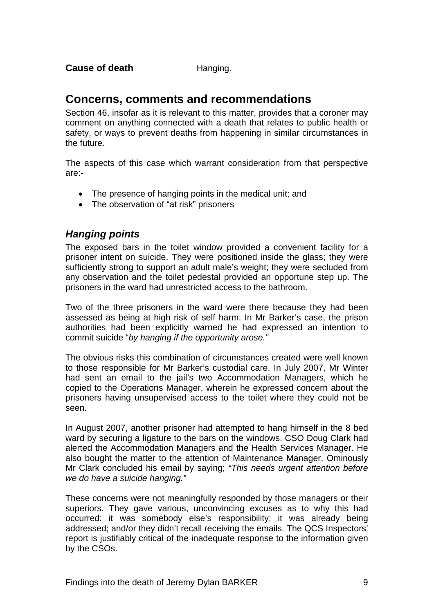## <span id="page-10-1"></span><span id="page-10-0"></span>**Concerns, comments and recommendations**

Section 46, insofar as it is relevant to this matter, provides that a coroner may comment on anything connected with a death that relates to public health or safety, or ways to prevent deaths from happening in similar circumstances in the future.

The aspects of this case which warrant consideration from that perspective are:-

- The presence of hanging points in the medical unit; and
- The observation of "at risk" prisoners

## <span id="page-10-2"></span>*Hanging points*

The exposed bars in the toilet window provided a convenient facility for a prisoner intent on suicide. They were positioned inside the glass; they were sufficiently strong to support an adult male's weight; they were secluded from any observation and the toilet pedestal provided an opportune step up. The prisoners in the ward had unrestricted access to the bathroom.

Two of the three prisoners in the ward were there because they had been assessed as being at high risk of self harm. In Mr Barker's case, the prison authorities had been explicitly warned he had expressed an intention to commit suicide "*by hanging if the opportunity arose."* 

The obvious risks this combination of circumstances created were well known to those responsible for Mr Barker's custodial care. In July 2007, Mr Winter had sent an email to the jail's two Accommodation Managers, which he copied to the Operations Manager, wherein he expressed concern about the prisoners having unsupervised access to the toilet where they could not be seen.

In August 2007, another prisoner had attempted to hang himself in the 8 bed ward by securing a ligature to the bars on the windows. CSO Doug Clark had alerted the Accommodation Managers and the Health Services Manager. He also bought the matter to the attention of Maintenance Manager. Ominously Mr Clark concluded his email by saying; *"This needs urgent attention before we do have a suicide hanging."*

These concerns were not meaningfully responded by those managers or their superiors. They gave various, unconvincing excuses as to why this had occurred: it was somebody else's responsibility; it was already being addressed; and/or they didn't recall receiving the emails. The QCS Inspectors' report is justifiably critical of the inadequate response to the information given by the CSOs.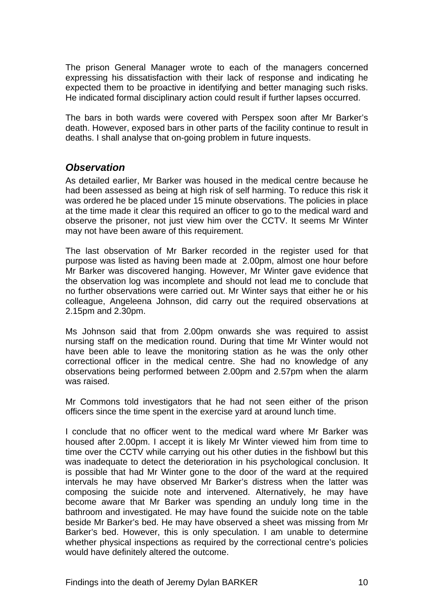The prison General Manager wrote to each of the managers concerned expressing his dissatisfaction with their lack of response and indicating he expected them to be proactive in identifying and better managing such risks. He indicated formal disciplinary action could result if further lapses occurred.

The bars in both wards were covered with Perspex soon after Mr Barker's death. However, exposed bars in other parts of the facility continue to result in deaths. I shall analyse that on-going problem in future inquests.

#### <span id="page-11-0"></span>*Observation*

As detailed earlier, Mr Barker was housed in the medical centre because he had been assessed as being at high risk of self harming. To reduce this risk it was ordered he be placed under 15 minute observations. The policies in place at the time made it clear this required an officer to go to the medical ward and observe the prisoner, not just view him over the CCTV. It seems Mr Winter may not have been aware of this requirement.

The last observation of Mr Barker recorded in the register used for that purpose was listed as having been made at 2.00pm, almost one hour before Mr Barker was discovered hanging. However, Mr Winter gave evidence that the observation log was incomplete and should not lead me to conclude that no further observations were carried out. Mr Winter says that either he or his colleague, Angeleena Johnson, did carry out the required observations at 2.15pm and 2.30pm.

Ms Johnson said that from 2.00pm onwards she was required to assist nursing staff on the medication round. During that time Mr Winter would not have been able to leave the monitoring station as he was the only other correctional officer in the medical centre. She had no knowledge of any observations being performed between 2.00pm and 2.57pm when the alarm was raised.

Mr Commons told investigators that he had not seen either of the prison officers since the time spent in the exercise yard at around lunch time.

I conclude that no officer went to the medical ward where Mr Barker was housed after 2.00pm. I accept it is likely Mr Winter viewed him from time to time over the CCTV while carrying out his other duties in the fishbowl but this was inadequate to detect the deterioration in his psychological conclusion. It is possible that had Mr Winter gone to the door of the ward at the required intervals he may have observed Mr Barker's distress when the latter was composing the suicide note and intervened. Alternatively, he may have become aware that Mr Barker was spending an unduly long time in the bathroom and investigated. He may have found the suicide note on the table beside Mr Barker's bed. He may have observed a sheet was missing from Mr Barker's bed. However, this is only speculation. I am unable to determine whether physical inspections as required by the correctional centre's policies would have definitely altered the outcome.